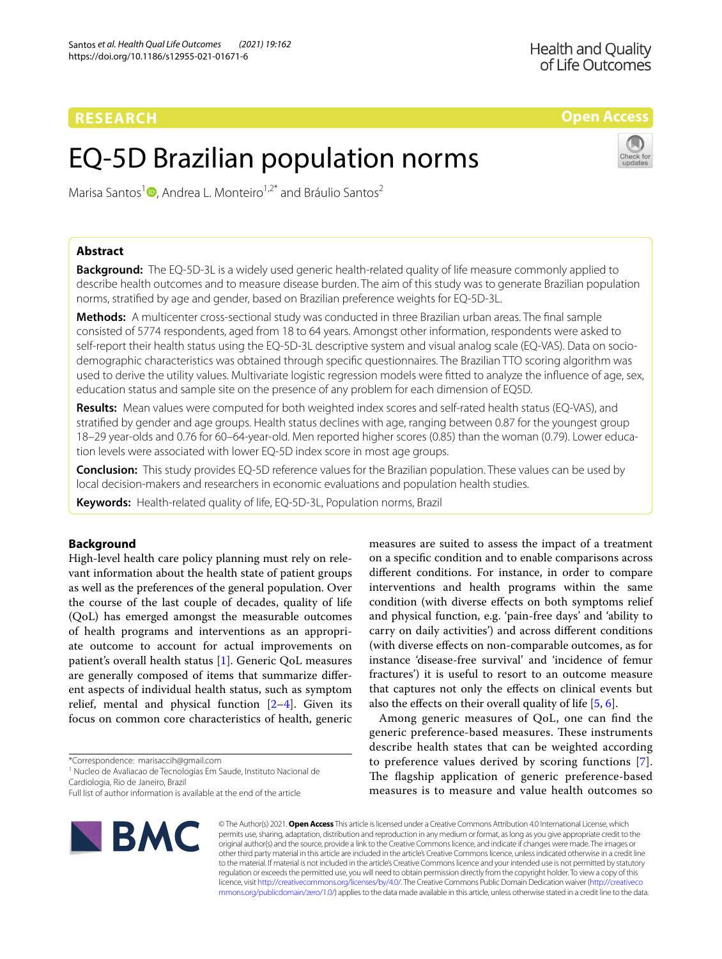**Open Access**

# EQ-5D Brazilian population norms



Marisa Santos<sup>1</sup><sup>®</sup>[,](http://orcid.org/0000-0002-2174-6800) Andrea L. Monteiro<sup>1,2\*</sup> and Bráulio Santos<sup>2</sup>

# **Abstract**

**Background:** The EQ-5D-3L is a widely used generic health-related quality of life measure commonly applied to describe health outcomes and to measure disease burden. The aim of this study was to generate Brazilian population norms, stratifed by age and gender, based on Brazilian preference weights for EQ-5D-3L.

**Methods:** A multicenter cross-sectional study was conducted in three Brazilian urban areas. The fnal sample consisted of 5774 respondents, aged from 18 to 64 years. Amongst other information, respondents were asked to self-report their health status using the EQ-5D-3L descriptive system and visual analog scale (EQ-VAS). Data on sociodemographic characteristics was obtained through specifc questionnaires. The Brazilian TTO scoring algorithm was used to derive the utility values. Multivariate logistic regression models were ftted to analyze the infuence of age, sex, education status and sample site on the presence of any problem for each dimension of EQ5D.

**Results:** Mean values were computed for both weighted index scores and self-rated health status (EQ-VAS), and stratifed by gender and age groups. Health status declines with age, ranging between 0.87 for the youngest group 18–29 year-olds and 0.76 for 60–64-year-old. Men reported higher scores (0.85) than the woman (0.79). Lower education levels were associated with lower EQ-5D index score in most age groups.

**Conclusion:** This study provides EQ-5D reference values for the Brazilian population. These values can be used by local decision-makers and researchers in economic evaluations and population health studies.

**Keywords:** Health-related quality of life, EQ-5D-3L, Population norms, Brazil

# **Background**

High-level health care policy planning must rely on relevant information about the health state of patient groups as well as the preferences of the general population. Over the course of the last couple of decades, quality of life (QoL) has emerged amongst the measurable outcomes of health programs and interventions as an appropriate outcome to account for actual improvements on patient's overall health status [\[1\]](#page-5-0). Generic QoL measures are generally composed of items that summarize diferent aspects of individual health status, such as symptom relief, mental and physical function  $[2-4]$  $[2-4]$ . Given its focus on common core characteristics of health, generic

\*Correspondence: marisaccih@gmail.com

<sup>1</sup> Nucleo de Avaliacao de Tecnologias Em Saude, Instituto Nacional de Cardiologia, Rio de Janeiro, Brazil

Full list of author information is available at the end of the article



measures are suited to assess the impact of a treatment on a specifc condition and to enable comparisons across diferent conditions. For instance, in order to compare interventions and health programs within the same condition (with diverse efects on both symptoms relief and physical function, e.g. 'pain-free days' and 'ability to carry on daily activities') and across diferent conditions (with diverse efects on non-comparable outcomes, as for instance 'disease-free survival' and 'incidence of femur fractures') it is useful to resort to an outcome measure that captures not only the efects on clinical events but also the efects on their overall quality of life [\[5](#page-5-3), [6\]](#page-5-4).

Among generic measures of QoL, one can fnd the generic preference-based measures. These instruments describe health states that can be weighted according to preference values derived by scoring functions [[7](#page-5-5)]. The flagship application of generic preference-based measures is to measure and value health outcomes so

© The Author(s) 2021. **Open Access** This article is licensed under a Creative Commons Attribution 4.0 International License, which permits use, sharing, adaptation, distribution and reproduction in any medium or format, as long as you give appropriate credit to the original author(s) and the source, provide a link to the Creative Commons licence, and indicate if changes were made. The images or other third party material in this article are included in the article's Creative Commons licence, unless indicated otherwise in a credit line to the material. If material is not included in the article's Creative Commons licence and your intended use is not permitted by statutory regulation or exceeds the permitted use, you will need to obtain permission directly from the copyright holder. To view a copy of this licence, visit [http://creativecommons.org/licenses/by/4.0/.](http://creativecommons.org/licenses/by/4.0/) The Creative Commons Public Domain Dedication waiver ([http://creativeco](http://creativecommons.org/publicdomain/zero/1.0/) [mmons.org/publicdomain/zero/1.0/](http://creativecommons.org/publicdomain/zero/1.0/)) applies to the data made available in this article, unless otherwise stated in a credit line to the data.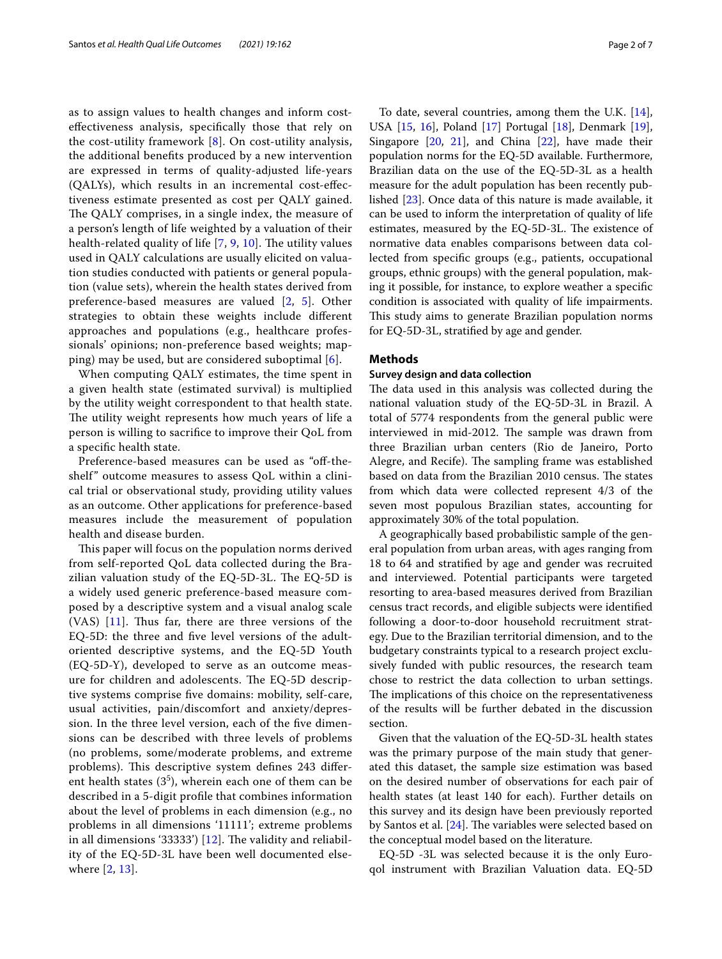as to assign values to health changes and inform costefectiveness analysis, specifcally those that rely on the cost-utility framework [\[8](#page-5-6)]. On cost-utility analysis, the additional benefts produced by a new intervention are expressed in terms of quality-adjusted life-years (QALYs), which results in an incremental cost-efectiveness estimate presented as cost per QALY gained. The QALY comprises, in a single index, the measure of a person's length of life weighted by a valuation of their health-related quality of life  $[7, 9, 10]$  $[7, 9, 10]$  $[7, 9, 10]$  $[7, 9, 10]$  $[7, 9, 10]$  $[7, 9, 10]$  $[7, 9, 10]$ . The utility values used in QALY calculations are usually elicited on valuation studies conducted with patients or general population (value sets), wherein the health states derived from preference-based measures are valued [[2,](#page-5-1) [5\]](#page-5-3). Other strategies to obtain these weights include diferent approaches and populations (e.g., healthcare professionals' opinions; non-preference based weights; mapping) may be used, but are considered suboptimal  $[6]$  $[6]$ .

When computing QALY estimates, the time spent in a given health state (estimated survival) is multiplied by the utility weight correspondent to that health state. The utility weight represents how much years of life a person is willing to sacrifce to improve their QoL from a specifc health state.

Preference-based measures can be used as "off-theshelf" outcome measures to assess QoL within a clinical trial or observational study, providing utility values as an outcome. Other applications for preference-based measures include the measurement of population health and disease burden.

This paper will focus on the population norms derived from self-reported QoL data collected during the Brazilian valuation study of the EQ-5D-3L. The EQ-5D is a widely used generic preference-based measure composed by a descriptive system and a visual analog scale (VAS)  $[11]$  $[11]$ . Thus far, there are three versions of the EQ-5D: the three and fve level versions of the adultoriented descriptive systems, and the EQ-5D Youth (EQ-5D-Y), developed to serve as an outcome measure for children and adolescents. The EQ-5D descriptive systems comprise fve domains: mobility, self-care, usual activities, pain/discomfort and anxiety/depression. In the three level version, each of the fve dimensions can be described with three levels of problems (no problems, some/moderate problems, and extreme problems). This descriptive system defines 243 different health states  $(3<sup>5</sup>)$ , wherein each one of them can be described in a 5-digit profle that combines information about the level of problems in each dimension (e.g., no problems in all dimensions '11111'; extreme problems in all dimensions '33333')  $[12]$  $[12]$ . The validity and reliability of the EQ-5D-3L have been well documented elsewhere [[2](#page-5-1), [13](#page-5-11)].

To date, several countries, among them the U.K. [\[14](#page-5-12)], USA [[15,](#page-5-13) [16](#page-5-14)], Poland [[17\]](#page-5-15) Portugal [[18\]](#page-5-16), Denmark [\[19](#page-5-17)], Singapore  $[20, 21]$  $[20, 21]$  $[20, 21]$ , and China  $[22]$  $[22]$ , have made their population norms for the EQ-5D available. Furthermore, Brazilian data on the use of the EQ-5D-3L as a health measure for the adult population has been recently published [\[23\]](#page-5-21). Once data of this nature is made available, it can be used to inform the interpretation of quality of life estimates, measured by the  $EQ-5D-3L$ . The existence of normative data enables comparisons between data collected from specifc groups (e.g., patients, occupational groups, ethnic groups) with the general population, making it possible, for instance, to explore weather a specifc condition is associated with quality of life impairments. This study aims to generate Brazilian population norms for EQ-5D-3L, stratifed by age and gender.

### **Methods**

#### **Survey design and data collection**

The data used in this analysis was collected during the national valuation study of the EQ-5D-3L in Brazil. A total of 5774 respondents from the general public were interviewed in mid-2012. The sample was drawn from three Brazilian urban centers (Rio de Janeiro, Porto Alegre, and Recife). The sampling frame was established based on data from the Brazilian 2010 census. The states from which data were collected represent 4/3 of the seven most populous Brazilian states, accounting for approximately 30% of the total population.

A geographically based probabilistic sample of the general population from urban areas, with ages ranging from 18 to 64 and stratifed by age and gender was recruited and interviewed. Potential participants were targeted resorting to area-based measures derived from Brazilian census tract records, and eligible subjects were identifed following a door-to-door household recruitment strategy. Due to the Brazilian territorial dimension, and to the budgetary constraints typical to a research project exclusively funded with public resources, the research team chose to restrict the data collection to urban settings. The implications of this choice on the representativeness of the results will be further debated in the discussion section.

Given that the valuation of the EQ-5D-3L health states was the primary purpose of the main study that generated this dataset, the sample size estimation was based on the desired number of observations for each pair of health states (at least 140 for each). Further details on this survey and its design have been previously reported by Santos et al.  $[24]$ . The variables were selected based on the conceptual model based on the literature.

EQ-5D -3L was selected because it is the only Euroqol instrument with Brazilian Valuation data. EQ-5D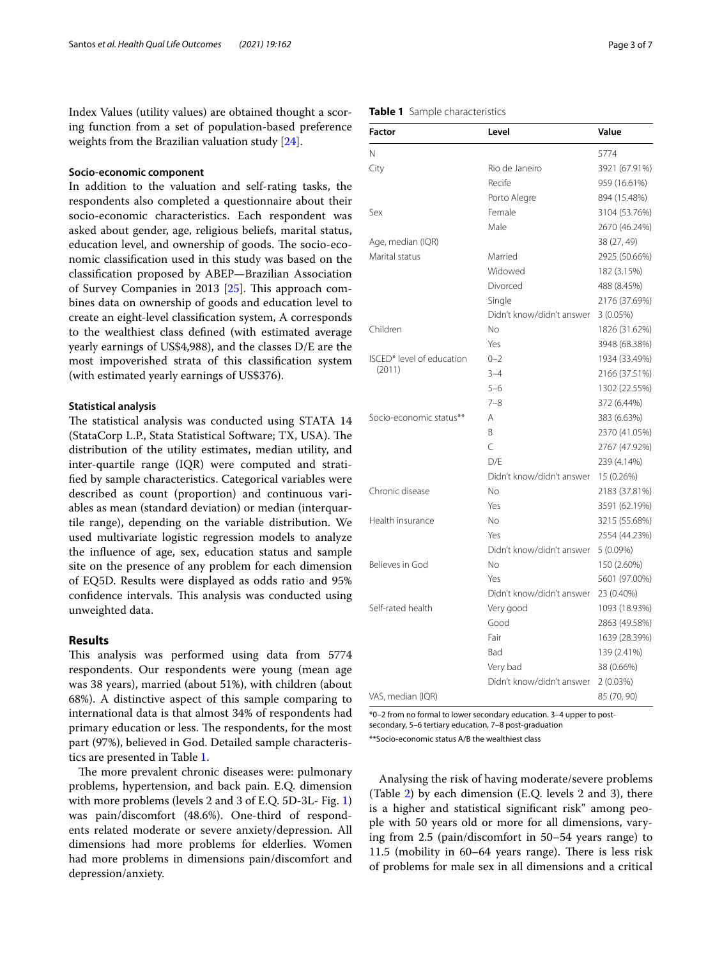Index Values (utility values) are obtained thought a scoring function from a set of population-based preference weights from the Brazilian valuation study [[24](#page-5-22)].

## **Socio‑economic component**

In addition to the valuation and self-rating tasks, the respondents also completed a questionnaire about their socio-economic characteristics. Each respondent was asked about gender, age, religious beliefs, marital status, education level, and ownership of goods. The socio-economic classifcation used in this study was based on the classifcation proposed by ABEP—Brazilian Association of Survey Companies in 2013  $[25]$  $[25]$ . This approach combines data on ownership of goods and education level to create an eight-level classifcation system, A corresponds to the wealthiest class defned (with estimated average yearly earnings of US\$4,988), and the classes D/E are the most impoverished strata of this classifcation system (with estimated yearly earnings of US\$376).

## **Statistical analysis**

The statistical analysis was conducted using STATA 14 (StataCorp L.P., Stata Statistical Software; TX, USA). The distribution of the utility estimates, median utility, and inter-quartile range (IQR) were computed and stratifed by sample characteristics. Categorical variables were described as count (proportion) and continuous variables as mean (standard deviation) or median (interquartile range), depending on the variable distribution. We used multivariate logistic regression models to analyze the infuence of age, sex, education status and sample site on the presence of any problem for each dimension of EQ5D. Results were displayed as odds ratio and 95% confidence intervals. This analysis was conducted using unweighted data.

# **Results**

This analysis was performed using data from 5774 respondents. Our respondents were young (mean age was 38 years), married (about 51%), with children (about 68%). A distinctive aspect of this sample comparing to international data is that almost 34% of respondents had primary education or less. The respondents, for the most part (97%), believed in God. Detailed sample characteristics are presented in Table [1](#page-2-0).

The more prevalent chronic diseases were: pulmonary problems, hypertension, and back pain. E.Q. dimension with more problems (levels 2 and 3 of E.Q. 5D-3L- Fig. [1](#page-3-0)) was pain/discomfort (48.6%). One-third of respondents related moderate or severe anxiety/depression. All dimensions had more problems for elderlies. Women had more problems in dimensions pain/discomfort and depression/anxiety.

## <span id="page-2-0"></span>**Table 1** Sample characteristics

| <b>Factor</b>             | Level                     | Value         |  |
|---------------------------|---------------------------|---------------|--|
| N                         |                           | 5774          |  |
| City                      | Rio de Janeiro            | 3921 (67.91%) |  |
|                           | Recife                    | 959 (16.61%)  |  |
|                           | Porto Alegre              | 894 (15.48%)  |  |
| Sex                       | Female                    | 3104 (53.76%) |  |
|                           | Male                      | 2670 (46.24%) |  |
| Age, median (IQR)         |                           | 38 (27, 49)   |  |
| Marital status            | Married                   | 2925 (50.66%) |  |
|                           | Widowed                   | 182 (3.15%)   |  |
|                           | Divorced                  | 488 (8.45%)   |  |
|                           | Single                    | 2176 (37.69%) |  |
|                           | Didn't know/didn't answer | 3(0.05%)      |  |
| Children                  | No                        | 1826 (31.62%) |  |
|                           | Yes                       | 3948 (68.38%) |  |
| ISCED* level of education | $0 - 2$                   | 1934 (33.49%) |  |
| (2011)                    | $3 - 4$                   | 2166 (37.51%) |  |
|                           | $5 - 6$                   | 1302 (22.55%) |  |
|                           | $7 - 8$                   | 372 (6.44%)   |  |
| Socio-economic status**   | Α                         | 383 (6.63%)   |  |
|                           | B.                        | 2370 (41.05%) |  |
|                           | $\overline{C}$            | 2767 (47.92%) |  |
|                           | D/E                       | 239 (4.14%)   |  |
|                           | Didn't know/didn't answer | 15 (0.26%)    |  |
| Chronic disease           | No                        | 2183 (37.81%) |  |
|                           | Yes                       | 3591 (62.19%) |  |
| Health insurance          | No                        | 3215 (55.68%) |  |
|                           | Yes                       | 2554 (44.23%) |  |
|                           | Didn't know/didn't answer | $5(0.09\%)$   |  |
| Believes in God           | No                        | 150 (2.60%)   |  |
|                           | Yes                       | 5601 (97.00%) |  |
|                           | Didn't know/didn't answer | 23 (0.40%)    |  |
| Self-rated health         | Very good                 | 1093 (18.93%) |  |
|                           | Good                      | 2863 (49.58%) |  |
|                           | Fair                      | 1639 (28.39%) |  |
|                           | Bad                       | 139 (2.41%)   |  |
|                           | Very bad                  | 38 (0.66%)    |  |
|                           | Didn't know/didn't answer | 2(0.03%)      |  |
| VAS, median (IQR)         |                           | 85 (70, 90)   |  |

\*0–2 from no formal to lower secondary education. 3–4 upper to post-

secondary, 5–6 tertiary education, 7–8 post-graduation

\*\*Socio-economic status A/B the wealthiest class

Analysing the risk of having moderate/severe problems (Table [2\)](#page-4-0) by each dimension (E.Q. levels 2 and 3), there is a higher and statistical signifcant risk" among people with 50 years old or more for all dimensions, varying from 2.5 (pain/discomfort in 50–54 years range) to  $11.5$  (mobility in  $60-64$  years range). There is less risk of problems for male sex in all dimensions and a critical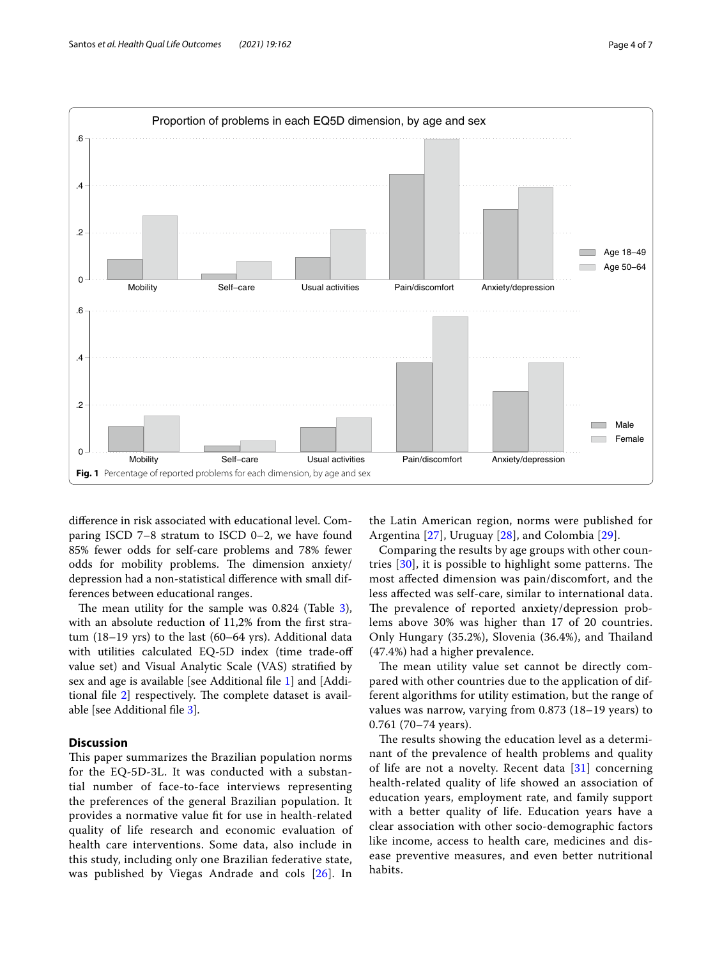

<span id="page-3-0"></span>diference in risk associated with educational level. Comparing ISCD 7–8 stratum to ISCD 0–2, we have found 85% fewer odds for self-care problems and 78% fewer odds for mobility problems. The dimension anxiety/ depression had a non-statistical diference with small differences between educational ranges.

The mean utility for the sample was  $0.824$  (Table [3](#page-4-1)), with an absolute reduction of 11,2% from the first stratum (18–19 yrs) to the last (60–64 yrs). Additional data with utilities calculated EQ-5D index (time trade-off value set) and Visual Analytic Scale (VAS) stratifed by sex and age is available [see Additional fle [1\]](#page-5-24) and [Additional file  $2$ ] respectively. The complete dataset is available [see Additional fle [3](#page-5-26)].

# **Discussion**

This paper summarizes the Brazilian population norms for the EQ-5D-3L. It was conducted with a substantial number of face-to-face interviews representing the preferences of the general Brazilian population. It provides a normative value ft for use in health-related quality of life research and economic evaluation of health care interventions. Some data, also include in this study, including only one Brazilian federative state, was published by Viegas Andrade and cols [[26\]](#page-6-0). In the Latin American region, norms were published for Argentina [[27\]](#page-6-1), Uruguay [[28](#page-6-2)], and Colombia [\[29](#page-6-3)].

Comparing the results by age groups with other countries  $[30]$  $[30]$ , it is possible to highlight some patterns. The most afected dimension was pain/discomfort, and the less afected was self-care, similar to international data. The prevalence of reported anxiety/depression problems above 30% was higher than 17 of 20 countries. Only Hungary (35.2%), Slovenia (36.4%), and Thailand (47.4%) had a higher prevalence.

The mean utility value set cannot be directly compared with other countries due to the application of different algorithms for utility estimation, but the range of values was narrow, varying from 0.873 (18–19 years) to 0.761 (70–74 years).

The results showing the education level as a determinant of the prevalence of health problems and quality of life are not a novelty. Recent data [[31](#page-6-5)] concerning health-related quality of life showed an association of education years, employment rate, and family support with a better quality of life. Education years have a clear association with other socio-demographic factors like income, access to health care, medicines and disease preventive measures, and even better nutritional habits.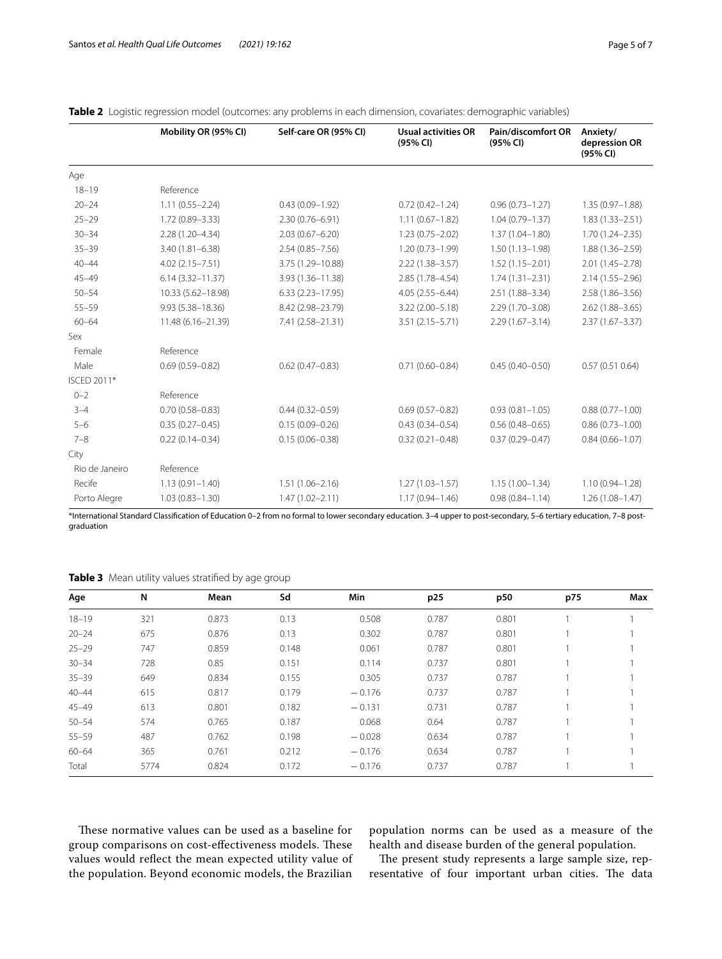|                | Mobility OR (95% CI) | Self-care OR (95% CI) | <b>Usual activities OR</b><br>(95% CI) | Pain/discomfort OR<br>(95% CI) | Anxiety/<br>depression OR<br>(95% CI) |
|----------------|----------------------|-----------------------|----------------------------------------|--------------------------------|---------------------------------------|
| Age            |                      |                       |                                        |                                |                                       |
| $18 - 19$      | Reference            |                       |                                        |                                |                                       |
| $20 - 24$      | $1.11(0.55 - 2.24)$  | $0.43(0.09 - 1.92)$   | $0.72(0.42 - 1.24)$                    | $0.96(0.73 - 1.27)$            | $1.35(0.97 - 1.88)$                   |
| $25 - 29$      | 1.72 (0.89-3.33)     | $2.30(0.76 - 6.91)$   | $1.11(0.67 - 1.82)$                    | $1.04(0.79 - 1.37)$            | $1.83(1.33 - 2.51)$                   |
| $30 - 34$      | 2.28 (1.20-4.34)     | $2.03(0.67 - 6.20)$   | $1.23(0.75 - 2.02)$                    | $1.37(1.04 - 1.80)$            | $1.70(1.24 - 2.35)$                   |
| $35 - 39$      | $3.40(1.81 - 6.38)$  | $2.54(0.85 - 7.56)$   | $1.20(0.73 - 1.99)$                    | $1.50(1.13 - 1.98)$            | $1.88(1.36 - 2.59)$                   |
| $40 - 44$      | $4.02(2.15 - 7.51)$  | 3.75 (1.29-10.88)     | $2.22(1.38 - 3.57)$                    | $1.52(1.15 - 2.01)$            | $2.01(1.45 - 2.78)$                   |
| $45 - 49$      | $6.14(3.32 - 11.37)$ | 3.93 (1.36-11.38)     | 2.85 (1.78-4.54)                       | $1.74(1.31 - 2.31)$            | $2.14(1.55 - 2.96)$                   |
| $50 - 54$      | 10.33 (5.62-18.98)   | $6.33(2.23 - 17.95)$  | $4.05(2.55 - 6.44)$                    | 2.51 (1.88-3.34)               | $2.58(1.86 - 3.56)$                   |
| $55 - 59$      | 9.93 (5.38-18.36)    | 8.42 (2.98-23.79)     | $3.22(2.00 - 5.18)$                    | $2.29(1.70 - 3.08)$            | $2.62(1.88 - 3.65)$                   |
| $60 - 64$      | 11.48 (6.16-21.39)   | 7.41 (2.58-21.31)     | $3.51(2.15 - 5.71)$                    | $2.29(1.67 - 3.14)$            | $2.37(1.67 - 3.37)$                   |
| Sex            |                      |                       |                                        |                                |                                       |
| Female         | Reference            |                       |                                        |                                |                                       |
| Male           | $0.69(0.59 - 0.82)$  | $0.62(0.47 - 0.83)$   | $0.71(0.60 - 0.84)$                    | $0.45(0.40 - 0.50)$            | 0.57(0.510.64)                        |
| ISCED 2011*    |                      |                       |                                        |                                |                                       |
| $0 - 2$        | Reference            |                       |                                        |                                |                                       |
| $3 - 4$        | $0.70(0.58 - 0.83)$  | $0.44(0.32 - 0.59)$   | $0.69(0.57 - 0.82)$                    | $0.93(0.81 - 1.05)$            | $0.88(0.77 - 1.00)$                   |
| $5 - 6$        | $0.35(0.27 - 0.45)$  | $0.15(0.09 - 0.26)$   | $0.43(0.34 - 0.54)$                    | $0.56(0.48 - 0.65)$            | $0.86(0.73 - 1.00)$                   |
| $7 - 8$        | $0.22(0.14 - 0.34)$  | $0.15(0.06 - 0.38)$   | $0.32(0.21 - 0.48)$                    | $0.37(0.29 - 0.47)$            | $0.84(0.66 - 1.07)$                   |
| City           |                      |                       |                                        |                                |                                       |
| Rio de Janeiro | Reference            |                       |                                        |                                |                                       |
| Recife         | $1.13(0.91 - 1.40)$  | $1.51(1.06 - 2.16)$   | $1.27(1.03 - 1.57)$                    | $1.15(1.00 - 1.34)$            | $1.10(0.94 - 1.28)$                   |
| Porto Alegre   | $1.03(0.83 - 1.30)$  | $1.47(1.02 - 2.11)$   | $1.17(0.94 - 1.46)$                    | $0.98(0.84 - 1.14)$            | $1.26(1.08 - 1.47)$                   |

<span id="page-4-0"></span>

|  |  | <b>Table 2</b> Logistic regression model (outcomes: any problems in each dimension, covariates: demographic variables) |
|--|--|------------------------------------------------------------------------------------------------------------------------|
|  |  |                                                                                                                        |

\*International Standard Classifcation of Education 0–2 from no formal to lower secondary education. 3–4 upper to post-secondary, 5–6 tertiary education, 7–8 postgraduation

<span id="page-4-1"></span>**Table 3** Mean utility values stratified by age group

| Age       | N    | Mean  | Sd    | Min      | p25   | p50   | p75 | Max |
|-----------|------|-------|-------|----------|-------|-------|-----|-----|
| $18 - 19$ | 321  | 0.873 | 0.13  | 0.508    | 0.787 | 0.801 |     |     |
| $20 - 24$ | 675  | 0.876 | 0.13  | 0.302    | 0.787 | 0.801 |     |     |
| $25 - 29$ | 747  | 0.859 | 0.148 | 0.061    | 0.787 | 0.801 |     |     |
| $30 - 34$ | 728  | 0.85  | 0.151 | 0.114    | 0.737 | 0.801 |     |     |
| $35 - 39$ | 649  | 0.834 | 0.155 | 0.305    | 0.737 | 0.787 |     |     |
| $40 - 44$ | 615  | 0.817 | 0.179 | $-0.176$ | 0.737 | 0.787 |     |     |
| $45 - 49$ | 613  | 0.801 | 0.182 | $-0.131$ | 0.731 | 0.787 |     |     |
| $50 - 54$ | 574  | 0.765 | 0.187 | 0.068    | 0.64  | 0.787 |     |     |
| $55 - 59$ | 487  | 0.762 | 0.198 | $-0.028$ | 0.634 | 0.787 |     |     |
| $60 - 64$ | 365  | 0.761 | 0.212 | $-0.176$ | 0.634 | 0.787 |     |     |
| Total     | 5774 | 0.824 | 0.172 | $-0.176$ | 0.737 | 0.787 |     |     |

These normative values can be used as a baseline for group comparisons on cost-effectiveness models. These values would refect the mean expected utility value of the population. Beyond economic models, the Brazilian population norms can be used as a measure of the health and disease burden of the general population.

The present study represents a large sample size, representative of four important urban cities. The data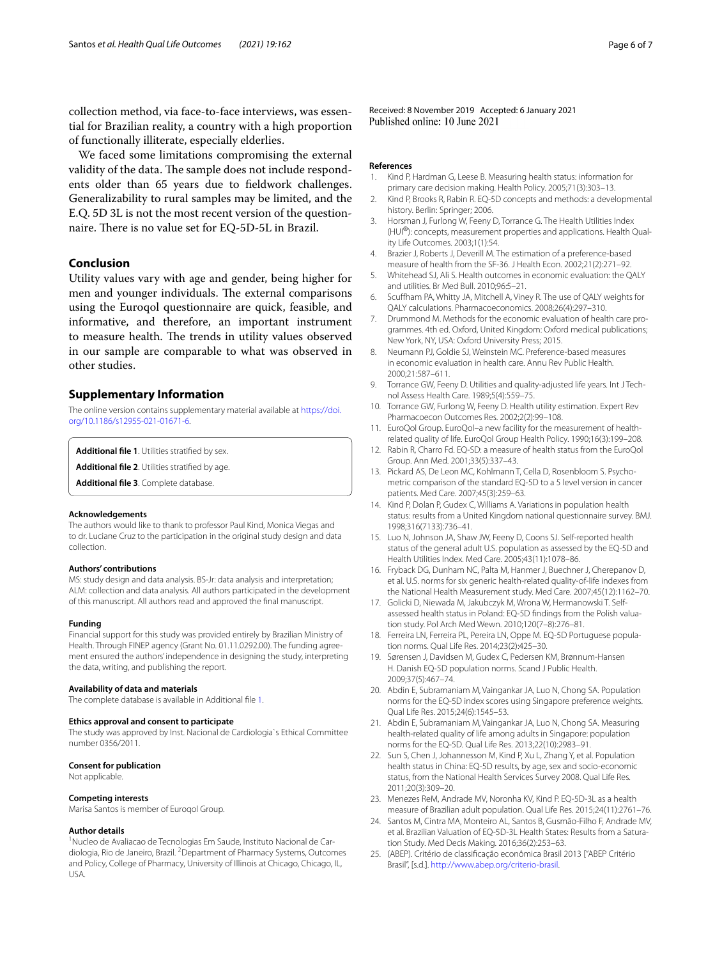collection method, via face-to-face interviews, was essential for Brazilian reality, a country with a high proportion of functionally illiterate, especially elderlies.

We faced some limitations compromising the external validity of the data. The sample does not include respondents older than 65 years due to feldwork challenges. Generalizability to rural samples may be limited, and the E.Q. 5D 3L is not the most recent version of the questionnaire. There is no value set for EQ-5D-5L in Brazil.

## **Conclusion**

Utility values vary with age and gender, being higher for men and younger individuals. The external comparisons using the Euroqol questionnaire are quick, feasible, and informative, and therefore, an important instrument to measure health. The trends in utility values observed in our sample are comparable to what was observed in other studies.

## **Supplementary Information**

The online version contains supplementary material available at [https://doi.](https://doi.org/10.1186/s12955-021-01671-6) [org/10.1186/s12955-021-01671-6](https://doi.org/10.1186/s12955-021-01671-6).

<span id="page-5-26"></span><span id="page-5-25"></span><span id="page-5-24"></span>**Additional fle 1**. Utilities stratifed by sex.

**Additional fle 2**. Utilities stratifed by age.

**Additional fle 3**. Complete database.

#### **Acknowledgements**

The authors would like to thank to professor Paul Kind, Monica Viegas and to dr. Luciane Cruz to the participation in the original study design and data collection.

#### **Authors' contributions**

MS: study design and data analysis. BS-Jr: data analysis and interpretation; ALM: collection and data analysis. All authors participated in the development of this manuscript. All authors read and approved the fnal manuscript.

#### **Funding**

Financial support for this study was provided entirely by Brazilian Ministry of Health. Through FINEP agency (Grant No. 01.11.0292.00). The funding agreement ensured the authors' independence in designing the study, interpreting the data, writing, and publishing the report.

#### **Availability of data and materials**

The complete database is available in Additional fle [1](#page-5-24).

#### **Ethics approval and consent to participate**

The study was approved by Inst. Nacional de Cardiologia`s Ethical Committee number 0356/2011.

#### **Consent for publication**

Not applicable.

# **Competing interests**

Marisa Santos is member of Euroqol Group.

#### **Author details**

<sup>1</sup> Nucleo de Avaliacao de Tecnologias Em Saude, Instituto Nacional de Cardiologia, Rio de Janeiro, Brazil. <sup>2</sup> Department of Pharmacy Systems, Outcomes and Policy, College of Pharmacy, University of Illinois at Chicago, Chicago, IL, USA.

Received: 8 November 2019 Accepted: 6 January 2021<br>Published online: 10 June 2021

#### **References**

- <span id="page-5-0"></span>1. Kind P, Hardman G, Leese B. Measuring health status: information for primary care decision making. Health Policy. 2005;71(3):303–13.
- <span id="page-5-1"></span>2. Kind P, Brooks R, Rabin R. EQ-5D concepts and methods: a developmental history. Berlin: Springer; 2006.
- 3. Horsman J, Furlong W, Feeny D, Torrance G. The Health Utilities Index (HUI®): concepts, measurement properties and applications. Health Quality Life Outcomes. 2003;1(1):54.
- <span id="page-5-2"></span>4. Brazier J, Roberts J, Deverill M. The estimation of a preference-based measure of health from the SF-36. J Health Econ. 2002;21(2):271–92.
- <span id="page-5-3"></span>5. Whitehead SJ, Ali S. Health outcomes in economic evaluation: the QALY and utilities. Br Med Bull. 2010;96:5–21.
- <span id="page-5-4"></span>6. Scufham PA, Whitty JA, Mitchell A, Viney R. The use of QALY weights for QALY calculations. Pharmacoeconomics. 2008;26(4):297–310.
- <span id="page-5-5"></span>7. Drummond M. Methods for the economic evaluation of health care programmes. 4th ed. Oxford, United Kingdom: Oxford medical publications; New York, NY, USA: Oxford University Press; 2015.
- <span id="page-5-6"></span>8. Neumann PJ, Goldie SJ, Weinstein MC. Preference-based measures in economic evaluation in health care. Annu Rev Public Health. 2000;21:587–611.
- <span id="page-5-7"></span>9. Torrance GW, Feeny D. Utilities and quality-adjusted life years. Int J Technol Assess Health Care. 1989;5(4):559–75.
- <span id="page-5-8"></span>10. Torrance GW, Furlong W, Feeny D. Health utility estimation. Expert Rev Pharmacoecon Outcomes Res. 2002;2(2):99–108.
- <span id="page-5-9"></span>11. EuroQol Group. EuroQol–a new facility for the measurement of healthrelated quality of life. EuroQol Group Health Policy. 1990;16(3):199–208.
- <span id="page-5-10"></span>12. Rabin R, Charro Fd. EQ-SD: a measure of health status from the EuroQol Group. Ann Med. 2001;33(5):337–43.
- <span id="page-5-11"></span>13. Pickard AS, De Leon MC, Kohlmann T, Cella D, Rosenbloom S. Psychometric comparison of the standard EQ-5D to a 5 level version in cancer patients. Med Care. 2007;45(3):259–63.
- <span id="page-5-12"></span>14. Kind P, Dolan P, Gudex C, Williams A. Variations in population health status: results from a United Kingdom national questionnaire survey. BMJ. 1998;316(7133):736–41.
- <span id="page-5-13"></span>15. Luo N, Johnson JA, Shaw JW, Feeny D, Coons SJ. Self-reported health status of the general adult U.S. population as assessed by the EQ-5D and Health Utilities Index. Med Care. 2005;43(11):1078–86.
- <span id="page-5-14"></span>16. Fryback DG, Dunham NC, Palta M, Hanmer J, Buechner J, Cherepanov D, et al. U.S. norms for six generic health-related quality-of-life indexes from the National Health Measurement study. Med Care. 2007;45(12):1162–70.
- <span id="page-5-15"></span>17. Golicki D, Niewada M, Jakubczyk M, Wrona W, Hermanowski T. Selfassessed health status in Poland: EQ-5D fndings from the Polish valuation study. Pol Arch Med Wewn. 2010;120(7–8):276–81.
- <span id="page-5-16"></span>18. Ferreira LN, Ferreira PL, Pereira LN, Oppe M. EQ-5D Portuguese population norms. Qual Life Res. 2014;23(2):425–30.
- <span id="page-5-17"></span>19. Sørensen J, Davidsen M, Gudex C, Pedersen KM, Brønnum-Hansen H. Danish EQ-5D population norms. Scand J Public Health. 2009;37(5):467–74.
- <span id="page-5-18"></span>20. Abdin E, Subramaniam M, Vaingankar JA, Luo N, Chong SA. Population norms for the EQ-5D index scores using Singapore preference weights. Qual Life Res. 2015;24(6):1545–53.
- <span id="page-5-19"></span>21. Abdin E, Subramaniam M, Vaingankar JA, Luo N, Chong SA. Measuring health-related quality of life among adults in Singapore: population norms for the EQ-5D. Qual Life Res. 2013;22(10):2983–91.
- <span id="page-5-20"></span>22. Sun S, Chen J, Johannesson M, Kind P, Xu L, Zhang Y, et al. Population health status in China: EQ-5D results, by age, sex and socio-economic status, from the National Health Services Survey 2008. Qual Life Res. 2011;20(3):309–20.
- <span id="page-5-21"></span>23. Menezes ReM, Andrade MV, Noronha KV, Kind P. EQ-5D-3L as a health measure of Brazilian adult population. Qual Life Res. 2015;24(11):2761–76.
- <span id="page-5-22"></span>24. Santos M, Cintra MA, Monteiro AL, Santos B, Gusmão-Filho F, Andrade MV, et al. Brazilian Valuation of EQ-5D-3L Health States: Results from a Saturation Study. Med Decis Making. 2016;36(2):253–63.
- <span id="page-5-23"></span>25. (ABEP). Critério de classifcação econômica Brasil 2013 ["ABEP Critério Brasil", [s.d.]. [http://www.abep.org/criterio-brasil.](http://www.abep.org/criterio-brasil)